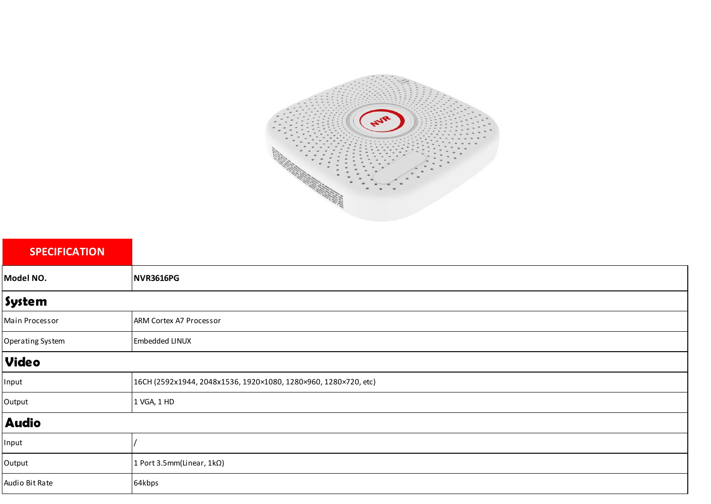

| <b>SPECIFICATION</b> |                                                                 |  |
|----------------------|-----------------------------------------------------------------|--|
| Model NO.            | NVR3616PG                                                       |  |
| System               |                                                                 |  |
| Main Processor       | ARM Cortex A7 Processor                                         |  |
| Operating System     | Embedded LINUX                                                  |  |
| <b>Video</b>         |                                                                 |  |
| Input                | 16CH (2592x1944, 2048x1536, 1920×1080, 1280×960, 1280×720, etc) |  |
| Output               | 1 VGA, 1 HD                                                     |  |
| <b>Audio</b>         |                                                                 |  |
| Input                |                                                                 |  |
| Output               | 1 Port 3.5mm(Linear, 1kΩ)                                       |  |
| Audio Bit Rate       | 64kbps                                                          |  |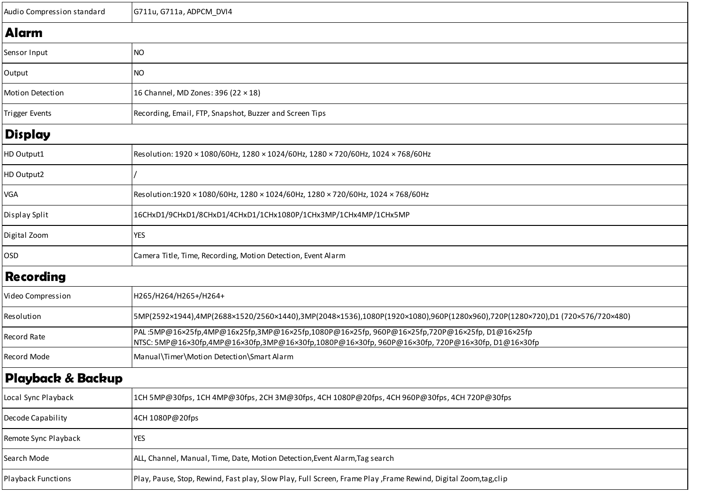| Audio Compression standard | G711u, G711a, ADPCM_DVI4                                                                                                                                                                       |  |
|----------------------------|------------------------------------------------------------------------------------------------------------------------------------------------------------------------------------------------|--|
| <b>Alarm</b>               |                                                                                                                                                                                                |  |
| Sensor Input               | <b>NO</b>                                                                                                                                                                                      |  |
| Output                     | <b>NO</b>                                                                                                                                                                                      |  |
| Motion Detection           | 16 Channel, MD Zones: 396 (22 × 18)                                                                                                                                                            |  |
| <b>Trigger Events</b>      | Recording, Email, FTP, Snapshot, Buzzer and Screen Tips                                                                                                                                        |  |
| <b>Display</b>             |                                                                                                                                                                                                |  |
| HD Output1                 | Resolution: 1920 × 1080/60Hz, 1280 × 1024/60Hz, 1280 × 720/60Hz, 1024 × 768/60Hz                                                                                                               |  |
| HD Output2                 |                                                                                                                                                                                                |  |
| VGA                        | Resolution:1920 × 1080/60Hz, 1280 × 1024/60Hz, 1280 × 720/60Hz, 1024 × 768/60Hz                                                                                                                |  |
| Display Split              | 16CHxD1/9CHxD1/8CHxD1/4CHxD1/1CHx1080P/1CHx3MP/1CHx4MP/1CHx5MP                                                                                                                                 |  |
| Digital Zoom               | <b>YES</b>                                                                                                                                                                                     |  |
| <b>OSD</b>                 | Camera Title, Time, Recording, Motion Detection, Event Alarm                                                                                                                                   |  |
| <b>Recording</b>           |                                                                                                                                                                                                |  |
| Video Compression          | H265/H264/H265+/H264+                                                                                                                                                                          |  |
| Resolution                 | 5MP(2592×1944),4MP(2688×1520/2560×1440),3MP(2048×1536),1080P(1920×1080),960P(1280x960),720P(1280×720),D1 (720×576/720×480)                                                                     |  |
| Record Rate                | PAL:5MP@16×25fp,4MP@16x25fp,3MP@16×25fp,1080P@16×25fp, 960P@16×25fp,720P@16×25fp,D1@16×25fp<br>NTSC: 5MP@16×30fp,4MP@16×30fp,3MP@16×30fp,1080P@16×30fp, 960P@16×30fp, 720P@16×30fp, D1@16×30fp |  |
| Record Mode                | Manual\Timer\Motion Detection\Smart Alarm                                                                                                                                                      |  |
| Playback & Backup          |                                                                                                                                                                                                |  |
| Local Sync Playback        | 1CH 5MP@30fps, 1CH 4MP@30fps, 2CH 3M@30fps, 4CH 1080P@20fps, 4CH 960P@30fps, 4CH 720P@30fps                                                                                                    |  |
| Decode Capability          | 4CH 1080P@20fps                                                                                                                                                                                |  |
| Remote Sync Playback       | <b>YES</b>                                                                                                                                                                                     |  |
| Search Mode                | ALL, Channel, Manual, Time, Date, Motion Detection, Event Alarm, Tag search                                                                                                                    |  |
| <b>Playback Functions</b>  | Play, Pause, Stop, Rewind, Fast play, Slow Play, Full Screen, Frame Play ,Frame Rewind, Digital Zoom,tag,clip                                                                                  |  |